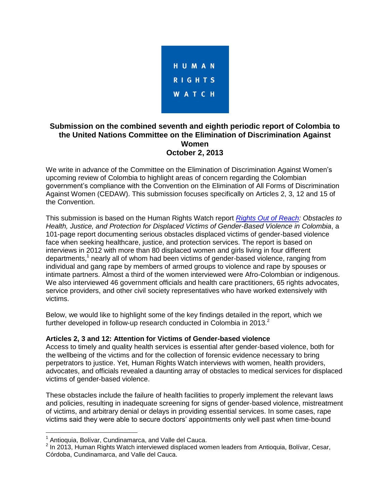

## **Submission on the combined seventh and eighth periodic report of Colombia to the United Nations Committee on the Elimination of Discrimination Against Women October 2, 2013**

We write in advance of the Committee on the Elimination of Discrimination Against Women's upcoming review of Colombia to highlight areas of concern regarding the Colombian government's compliance with the Convention on the Elimination of All Forms of Discrimination Against Women (CEDAW). This submission focuses specifically on Articles 2, 3, 12 and 15 of the Convention.

This submission is based on the Human Rights Watch report *[Rights Out of Reach:](http://www.hrw.org/reports/2012/11/14/rights-out-reach) Obstacles to Health, Justice, and Protection for Displaced Victims of Gender-Based Violence in Colombia*, a 101-page report documenting serious obstacles displaced victims of gender-based violence face when seeking healthcare, justice, and protection services. The report is based on interviews in 2012 with more than 80 displaced women and girls living in four different departments,<sup>1</sup> nearly all of whom had been victims of gender-based violence, ranging from individual and gang rape by members of armed groups to violence and rape by spouses or intimate partners. Almost a third of the women interviewed were Afro-Colombian or indigenous. We also interviewed 46 government officials and health care practitioners, 65 rights advocates, service providers, and other civil society representatives who have worked extensively with victims.

Below, we would like to highlight some of the key findings detailed in the report, which we further developed in follow-up research conducted in Colombia in  $2013<sup>2</sup>$ 

## **Articles 2, 3 and 12: Attention for Victims of Gender-based violence**

Access to timely and quality health services is essential after gender-based violence, both for the wellbeing of the victims and for the collection of forensic evidence necessary to bring perpetrators to justice. Yet, Human Rights Watch interviews with women, health providers, advocates, and officials revealed a daunting array of obstacles to medical services for displaced victims of gender-based violence.

These obstacles include the failure of health facilities to properly implement the relevant laws and policies, resulting in inadequate screening for signs of gender-based violence, mistreatment of victims, and arbitrary denial or delays in providing essential services. In some cases, rape victims said they were able to secure doctors' appointments only well past when time-bound

 $\overline{a}$ 

<sup>&</sup>lt;sup>1</sup> Antioquia, Bolívar, Cundinamarca, and Valle del Cauca.

 $2$  In 2013, Human Rights Watch interviewed displaced women leaders from Antioquia, Bolívar, Cesar, Córdoba, Cundinamarca, and Valle del Cauca.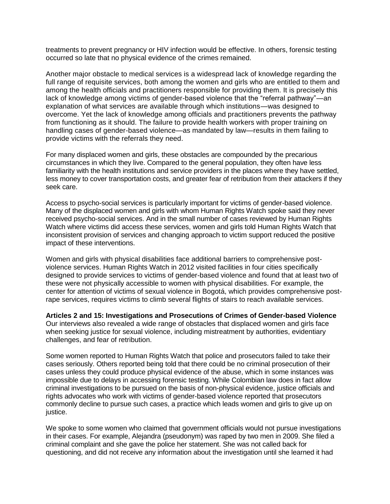treatments to prevent pregnancy or HIV infection would be effective. In others, forensic testing occurred so late that no physical evidence of the crimes remained.

Another major obstacle to medical services is a widespread lack of knowledge regarding the full range of requisite services, both among the women and girls who are entitled to them and among the health officials and practitioners responsible for providing them. It is precisely this lack of knowledge among victims of gender-based violence that the "referral pathway"—an explanation of what services are available through which institutions—was designed to overcome. Yet the lack of knowledge among officials and practitioners prevents the pathway from functioning as it should. The failure to provide health workers with proper training on handling cases of gender-based violence—as mandated by law—results in them failing to provide victims with the referrals they need.

For many displaced women and girls, these obstacles are compounded by the precarious circumstances in which they live. Compared to the general population, they often have less familiarity with the health institutions and service providers in the places where they have settled, less money to cover transportation costs, and greater fear of retribution from their attackers if they seek care.

Access to psycho-social services is particularly important for victims of gender-based violence. Many of the displaced women and girls with whom Human Rights Watch spoke said they never received psycho-social services. And in the small number of cases reviewed by Human Rights Watch where victims did access these services, women and girls told Human Rights Watch that inconsistent provision of services and changing approach to victim support reduced the positive impact of these interventions.

Women and girls with physical disabilities face additional barriers to comprehensive postviolence services. Human Rights Watch in 2012 visited facilities in four cities specifically designed to provide services to victims of gender-based violence and found that at least two of these were not physically accessible to women with physical disabilities. For example, the center for attention of victims of sexual violence in Bogotá, which provides comprehensive postrape services, requires victims to climb several flights of stairs to reach available services.

**Articles 2 and 15: Investigations and Prosecutions of Crimes of Gender-based Violence** Our interviews also revealed a wide range of obstacles that displaced women and girls face when seeking justice for sexual violence, including mistreatment by authorities, evidentiary challenges, and fear of retribution.

Some women reported to Human Rights Watch that police and prosecutors failed to take their cases seriously. Others reported being told that there could be no criminal prosecution of their cases unless they could produce physical evidence of the abuse, which in some instances was impossible due to delays in accessing forensic testing. While Colombian law does in fact allow criminal investigations to be pursued on the basis of non-physical evidence, justice officials and rights advocates who work with victims of gender-based violence reported that prosecutors commonly decline to pursue such cases, a practice which leads women and girls to give up on justice.

We spoke to some women who claimed that government officials would not pursue investigations in their cases. For example, Alejandra (pseudonym) was raped by two men in 2009. She filed a criminal complaint and she gave the police her statement. She was not called back for questioning, and did not receive any information about the investigation until she learned it had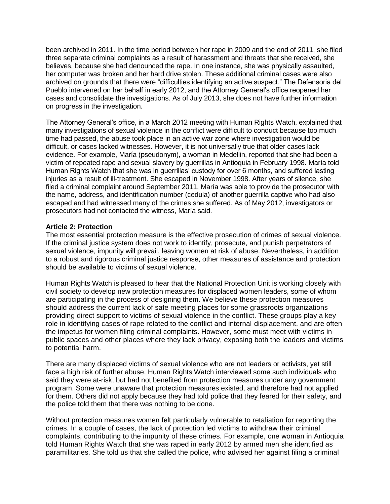been archived in 2011. In the time period between her rape in 2009 and the end of 2011, she filed three separate criminal complaints as a result of harassment and threats that she received, she believes, because she had denounced the rape. In one instance, she was physically assaulted, her computer was broken and her hard drive stolen. These additional criminal cases were also archived on grounds that there were "difficulties identifying an active suspect." The Defensoria del Pueblo intervened on her behalf in early 2012, and the Attorney General's office reopened her cases and consolidate the investigations. As of July 2013, she does not have further information on progress in the investigation.

The Attorney General's office, in a March 2012 meeting with Human Rights Watch, explained that many investigations of sexual violence in the conflict were difficult to conduct because too much time had passed, the abuse took place in an active war zone where investigation would be difficult, or cases lacked witnesses. However, it is not universally true that older cases lack evidence. For example, María (pseudonym), a woman in Medellin, reported that she had been a victim of repeated rape and sexual slavery by guerrillas in Antioquia in February 1998. María told Human Rights Watch that she was in guerrillas' custody for over 6 months, and suffered lasting injuries as a result of ill-treatment. She escaped in November 1998. After years of silence, she filed a criminal complaint around September 2011. María was able to provide the prosecutor with the name, address, and identification number (cedula) of another guerrilla captive who had also escaped and had witnessed many of the crimes she suffered. As of May 2012, investigators or prosecutors had not contacted the witness, María said.

## **Article 2: Protection**

The most essential protection measure is the effective prosecution of crimes of sexual violence. If the criminal justice system does not work to identify, prosecute, and punish perpetrators of sexual violence, impunity will prevail, leaving women at risk of abuse. Nevertheless, in addition to a robust and rigorous criminal justice response, other measures of assistance and protection should be available to victims of sexual violence.

Human Rights Watch is pleased to hear that the National Protection Unit is working closely with civil society to develop new protection measures for displaced women leaders, some of whom are participating in the process of designing them. We believe these protection measures should address the current lack of safe meeting places for some grassroots organizations providing direct support to victims of sexual violence in the conflict. These groups play a key role in identifying cases of rape related to the conflict and internal displacement, and are often the impetus for women filing criminal complaints. However, some must meet with victims in public spaces and other places where they lack privacy, exposing both the leaders and victims to potential harm.

There are many displaced victims of sexual violence who are not leaders or activists, yet still face a high risk of further abuse. Human Rights Watch interviewed some such individuals who said they were at-risk, but had not benefited from protection measures under any government program. Some were unaware that protection measures existed, and therefore had not applied for them. Others did not apply because they had told police that they feared for their safety, and the police told them that there was nothing to be done.

Without protection measures women felt particularly vulnerable to retaliation for reporting the crimes. In a couple of cases, the lack of protection led victims to withdraw their criminal complaints, contributing to the impunity of these crimes. For example, one woman in Antioquia told Human Rights Watch that she was raped in early 2012 by armed men she identified as paramilitaries. She told us that she called the police, who advised her against filing a criminal